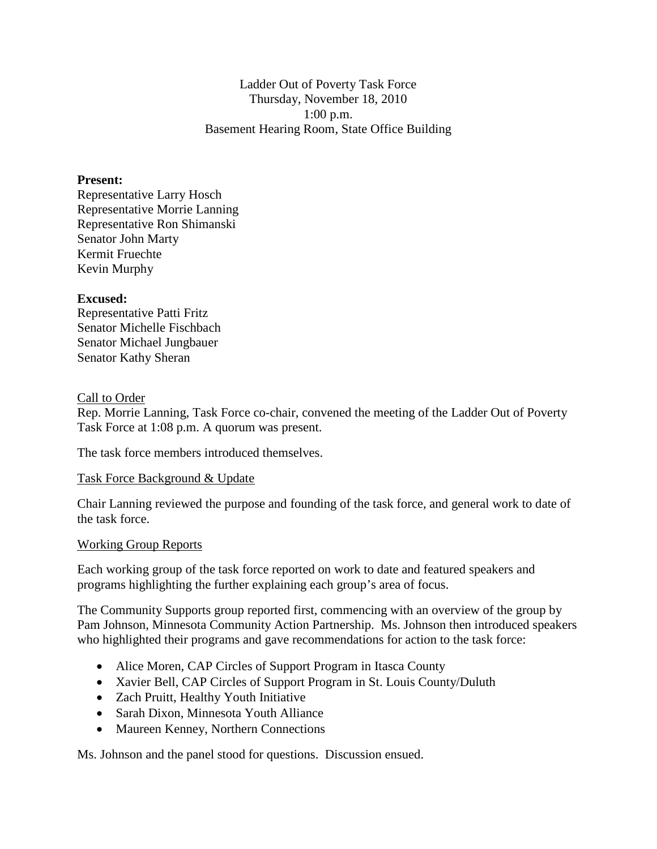Ladder Out of Poverty Task Force Thursday, November 18, 2010 1:00 p.m. Basement Hearing Room, State Office Building

## **Present:**

Representative Larry Hosch Representative Morrie Lanning Representative Ron Shimanski Senator John Marty Kermit Fruechte Kevin Murphy

### **Excused:**

Representative Patti Fritz Senator Michelle Fischbach Senator Michael Jungbauer Senator Kathy Sheran

### Call to Order

Rep. Morrie Lanning, Task Force co-chair, convened the meeting of the Ladder Out of Poverty Task Force at 1:08 p.m. A quorum was present.

The task force members introduced themselves.

## Task Force Background & Update

Chair Lanning reviewed the purpose and founding of the task force, and general work to date of the task force.

#### Working Group Reports

Each working group of the task force reported on work to date and featured speakers and programs highlighting the further explaining each group's area of focus.

The Community Supports group reported first, commencing with an overview of the group by Pam Johnson, Minnesota Community Action Partnership. Ms. Johnson then introduced speakers who highlighted their programs and gave recommendations for action to the task force:

- Alice Moren, CAP Circles of Support Program in Itasca County
- Xavier Bell, CAP Circles of Support Program in St. Louis County/Duluth
- Zach Pruitt, Healthy Youth Initiative
- Sarah Dixon, Minnesota Youth Alliance
- Maureen Kenney, Northern Connections

Ms. Johnson and the panel stood for questions. Discussion ensued.